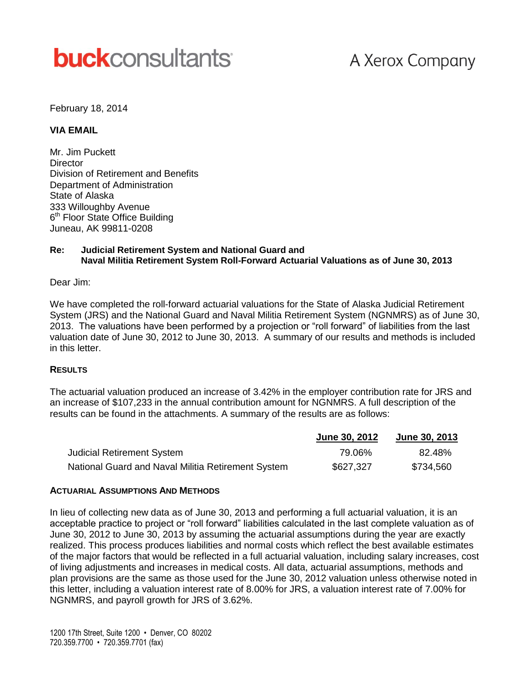# **buck**consultants

## A Xerox Company

#### February 18, 2014

#### **VIA EMAIL**

Mr. Jim Puckett **Director** Division of Retirement and Benefits Department of Administration State of Alaska 333 Willoughby Avenue 6<sup>th</sup> Floor State Office Building Juneau, AK 99811-0208

#### **Re: Judicial Retirement System and National Guard and Naval Militia Retirement System Roll-Forward Actuarial Valuations as of June 30, 2013**

Dear Jim:

We have completed the roll-forward actuarial valuations for the State of Alaska Judicial Retirement System (JRS) and the National Guard and Naval Militia Retirement System (NGNMRS) as of June 30, 2013. The valuations have been performed by a projection or "roll forward" of liabilities from the last valuation date of June 30, 2012 to June 30, 2013. A summary of our results and methods is included in this letter.

#### **RESULTS**

The actuarial valuation produced an increase of 3.42% in the employer contribution rate for JRS and an increase of \$107,233 in the annual contribution amount for NGNMRS. A full description of the results can be found in the attachments. A summary of the results are as follows:

|                                                    | June 30, 2012 | <b>June 30, 2013</b> |
|----------------------------------------------------|---------------|----------------------|
| <b>Judicial Retirement System</b>                  | 79.06%        | 82.48%               |
| National Guard and Naval Militia Retirement System | \$627,327     | \$734,560            |

#### **ACTUARIAL ASSUMPTIONS AND METHODS**

In lieu of collecting new data as of June 30, 2013 and performing a full actuarial valuation, it is an acceptable practice to project or "roll forward" liabilities calculated in the last complete valuation as of June 30, 2012 to June 30, 2013 by assuming the actuarial assumptions during the year are exactly realized. This process produces liabilities and normal costs which reflect the best available estimates of the major factors that would be reflected in a full actuarial valuation, including salary increases, cost of living adjustments and increases in medical costs. All data, actuarial assumptions, methods and plan provisions are the same as those used for the June 30, 2012 valuation unless otherwise noted in this letter, including a valuation interest rate of 8.00% for JRS, a valuation interest rate of 7.00% for NGNMRS, and payroll growth for JRS of 3.62%.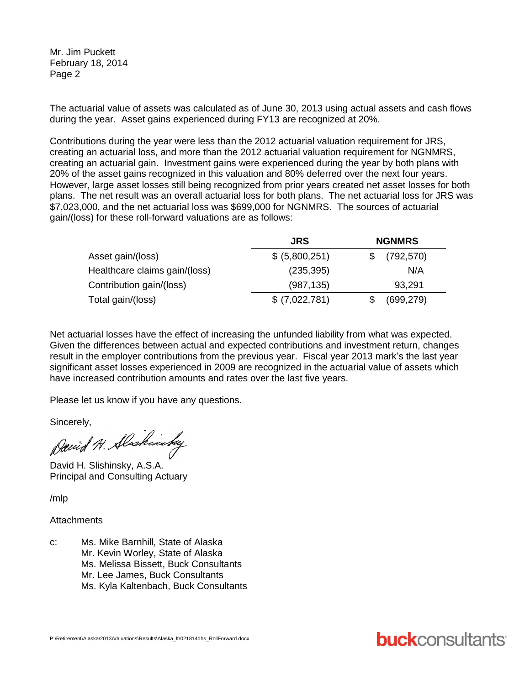Mr. Jim Puckett February 18, 2014 Page 2

The actuarial value of assets was calculated as of June 30, 2013 using actual assets and cash flows during the year. Asset gains experienced during FY13 are recognized at 20%.

Contributions during the year were less than the 2012 actuarial valuation requirement for JRS, creating an actuarial loss, and more than the 2012 actuarial valuation requirement for NGNMRS, creating an actuarial gain. Investment gains were experienced during the year by both plans with 20% of the asset gains recognized in this valuation and 80% deferred over the next four years. However, large asset losses still being recognized from prior years created net asset losses for both plans. The net result was an overall actuarial loss for both plans. The net actuarial loss for JRS was \$7,023,000, and the net actuarial loss was \$699,000 for NGNMRS. The sources of actuarial gain/(loss) for these roll-forward valuations are as follows:

|                               | <b>JRS</b>     | <b>NGNMRS</b> |            |  |
|-------------------------------|----------------|---------------|------------|--|
| Asset gain/(loss)             | \$ (5,800,251) |               | (792, 570) |  |
| Healthcare claims gain/(loss) | (235, 395)     |               | N/A        |  |
| Contribution gain/(loss)      | (987, 135)     |               | 93,291     |  |
| Total gain/(loss)             | \$ (7,022,781) |               | (699, 279) |  |

Net actuarial losses have the effect of increasing the unfunded liability from what was expected. Given the differences between actual and expected contributions and investment return, changes result in the employer contributions from the previous year. Fiscal year 2013 mark's the last year significant asset losses experienced in 2009 are recognized in the actuarial value of assets which have increased contribution amounts and rates over the last five years.

Please let us know if you have any questions.

Sincerely,

David H. Slockinsky

David H. Slishinsky, A.S.A. Principal and Consulting Actuary

/mlp

#### **Attachments**

c: Ms. Mike Barnhill, State of Alaska Mr. Kevin Worley, State of Alaska Ms. Melissa Bissett, Buck Consultants Mr. Lee James, Buck Consultants Ms. Kyla Kaltenbach, Buck Consultants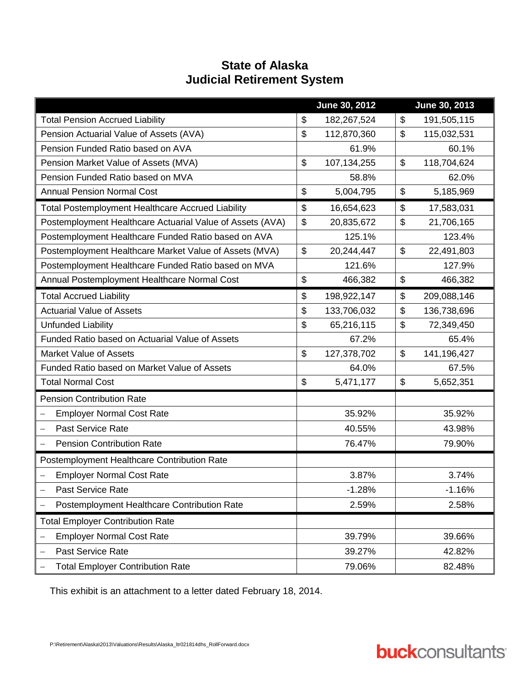### **State of Alaska Judicial Retirement System**

|                                                              |                           | June 30, 2012 |                           | June 30, 2013 |
|--------------------------------------------------------------|---------------------------|---------------|---------------------------|---------------|
| <b>Total Pension Accrued Liability</b>                       | \$                        | 182,267,524   | \$                        | 191,505,115   |
| Pension Actuarial Value of Assets (AVA)                      | $\mathfrak{S}$            | 112,870,360   | $\boldsymbol{\mathsf{S}}$ | 115,032,531   |
| Pension Funded Ratio based on AVA                            |                           | 61.9%         |                           | 60.1%         |
| Pension Market Value of Assets (MVA)                         | \$                        | 107,134,255   | \$                        | 118,704,624   |
| Pension Funded Ratio based on MVA                            |                           | 58.8%         |                           | 62.0%         |
| <b>Annual Pension Normal Cost</b>                            | \$                        | 5,004,795     | \$                        | 5,185,969     |
| <b>Total Postemployment Healthcare Accrued Liability</b>     | \$                        | 16,654,623    | \$                        | 17,583,031    |
| Postemployment Healthcare Actuarial Value of Assets (AVA)    | $\boldsymbol{\mathsf{S}}$ | 20,835,672    | $\boldsymbol{\mathsf{S}}$ | 21,706,165    |
| Postemployment Healthcare Funded Ratio based on AVA          |                           | 125.1%        |                           | 123.4%        |
| Postemployment Healthcare Market Value of Assets (MVA)       | $\mathfrak{S}$            | 20,244,447    | $\mathfrak{S}$            | 22,491,803    |
| Postemployment Healthcare Funded Ratio based on MVA          |                           | 121.6%        |                           | 127.9%        |
| Annual Postemployment Healthcare Normal Cost                 | $\frac{1}{2}$             | 466,382       | $\frac{1}{2}$             | 466,382       |
| <b>Total Accrued Liability</b>                               | $\boldsymbol{\mathsf{S}}$ | 198,922,147   | $\boldsymbol{\mathsf{S}}$ | 209,088,146   |
| <b>Actuarial Value of Assets</b>                             | $\boldsymbol{\mathsf{S}}$ | 133,706,032   | $\boldsymbol{\mathsf{S}}$ | 136,738,696   |
| <b>Unfunded Liability</b>                                    | $\boldsymbol{\mathsf{S}}$ | 65,216,115    | $\boldsymbol{\mathsf{S}}$ | 72,349,450    |
| Funded Ratio based on Actuarial Value of Assets              |                           | 67.2%         |                           | 65.4%         |
| <b>Market Value of Assets</b>                                | $\mathfrak{S}$            | 127,378,702   | $\mathcal{L}$             | 141,196,427   |
| Funded Ratio based on Market Value of Assets                 |                           | 64.0%         |                           | 67.5%         |
| <b>Total Normal Cost</b>                                     | \$                        | 5,471,177     | $\frac{1}{2}$             | 5,652,351     |
| <b>Pension Contribution Rate</b>                             |                           |               |                           |               |
| <b>Employer Normal Cost Rate</b><br>$\overline{\phantom{0}}$ |                           | 35.92%        |                           | 35.92%        |
| <b>Past Service Rate</b><br>$\overline{\phantom{0}}$         |                           | 40.55%        |                           | 43.98%        |
| <b>Pension Contribution Rate</b>                             |                           | 76.47%        |                           | 79.90%        |
| Postemployment Healthcare Contribution Rate                  |                           |               |                           |               |
| <b>Employer Normal Cost Rate</b>                             |                           | 3.87%         |                           | 3.74%         |
| Past Service Rate                                            |                           | $-1.28%$      |                           | $-1.16%$      |
| Postemployment Healthcare Contribution Rate                  |                           | 2.59%         |                           | 2.58%         |
| <b>Total Employer Contribution Rate</b>                      |                           |               |                           |               |
| <b>Employer Normal Cost Rate</b>                             |                           | 39.79%        |                           | 39.66%        |
| Past Service Rate                                            |                           | 39.27%        |                           | 42.82%        |
| <b>Total Employer Contribution Rate</b>                      |                           | 79.06%        |                           | 82.48%        |

This exhibit is an attachment to a letter dated February 18, 2014.

# **buck**consultants